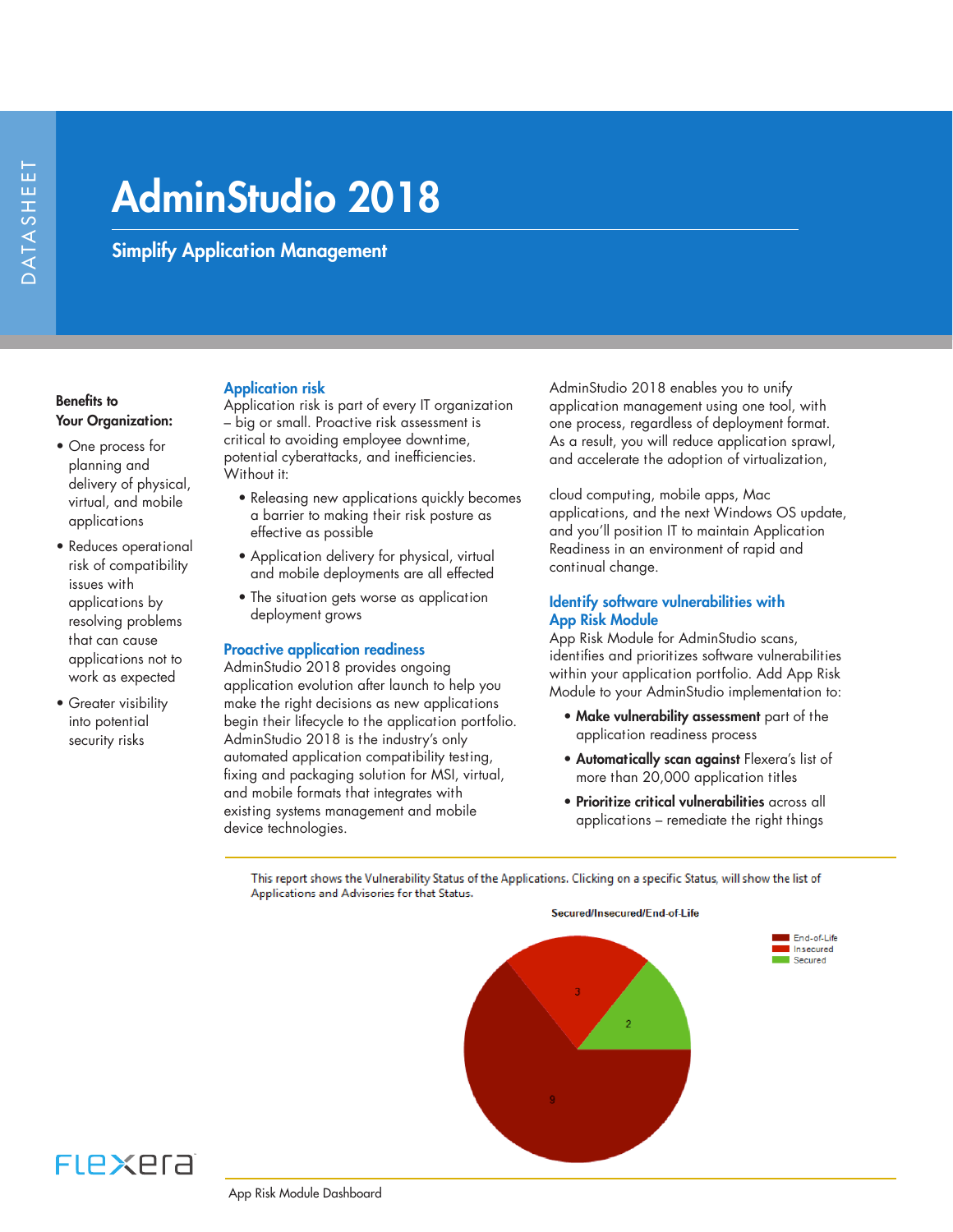# AdminStudio 2018

Simplify Application Management

## Benefits to Your Organization:

- One process for planning and delivery of physical, virtual, and mobile applications
- Reduces operational risk of compatibility issues with applications by resolving problems that can cause applications not to work as expected
- Greater visibility into potential security risks

## Application risk

Application risk is part of every IT organization – big or small. Proactive risk assessment is critical to avoiding employee downtime, potential cyberattacks, and inefficiencies. Without it:

- Releasing new applications quickly becomes a barrier to making their risk posture as effective as possible
- Application delivery for physical, virtual and mobile deployments are all effected
- The situation gets worse as application deployment grows

## Proactive application readiness

AdminStudio 2018 provides ongoing application evolution after launch to help you make the right decisions as new applications begin their lifecycle to the application portfolio. AdminStudio 2018 is the industry's only automated application compatibility testing, fixing and packaging solution for MSI, virtual, and mobile formats that integrates with existing systems management and mobile device technologies.

AdminStudio 2018 enables you to unify application management using one tool, with one process, regardless of deployment format. As a result, you will reduce application sprawl, and accelerate the adoption of virtualization,

cloud computing, mobile apps, Mac applications, and the next Windows OS update, and you'll position IT to maintain Application Readiness in an environment of rapid and continual change.

## Identify software vulnerabilities with App Risk Module

App Risk Module for AdminStudio scans, identifies and prioritizes software vulnerabilities within your application portfolio. Add App Risk Module to your AdminStudio implementation to:

- Make vulnerability assessment part of the application readiness process
- Automatically scan against Flexera's list of more than 20,000 application titles
- Prioritize critical vulnerabilities across all applications – remediate the right things

This report shows the Vulnerability Status of the Applications. Clicking on a specific Status, will show the list of Applications and Advisories for that Status.